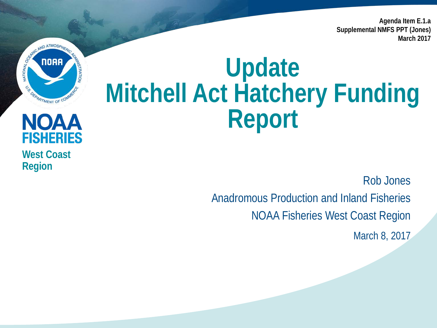**Agenda Item E.1.a Supplemental NMFS PPT (Jones) March 2017**

# **CONSIDERED ATMOSPHERICA** C.S. DEPARTMENT OF COM

**West Coast** 

**NOAA** 

**FISHERIES** 

**Region**

### **Update Mitchell Act Hatchery Funding Report**

Rob Jones

Anadromous Production and Inland Fisheries NOAA Fisheries West Coast Region

March 8, 2017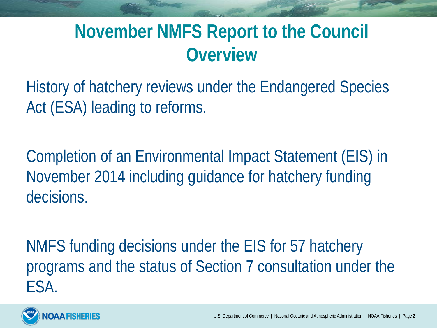#### **November NMFS Report to the Council Overview**

History of hatchery reviews under the Endangered Species Act (ESA) leading to reforms.

Completion of an Environmental Impact Statement (EIS) in November 2014 including guidance for hatchery funding decisions.

NMFS funding decisions under the EIS for 57 hatchery programs and the status of Section 7 consultation under the ESA.

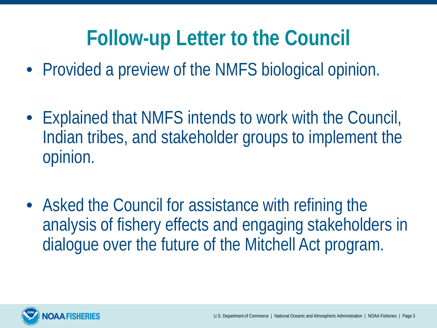#### **Follow-up Letter to the Council**

- Provided a preview of the NMFS biological opinion.
- Explained that NMFS intends to work with the Council, Indian tribes, and stakeholder groups to implement the opinion.
- Asked the Council for assistance with refining the analysis of fishery effects and engaging stakeholders in dialogue over the future of the Mitchell Act program.

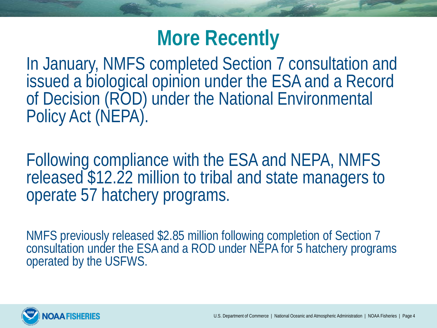#### **More Recently**

In January, NMFS completed Section 7 consultation and issued a biological opinion under the ESA and a Record of Decision (ROD) under the National Environmental Policy Act (NEPA).

Following compliance with the ESA and NEPA, NMFS released \$12.22 million to tribal and state managers to operate 57 hatchery programs.

NMFS previously released \$2.85 million following completion of Section 7 consultation under the ESA and a ROD under NEPA for 5 hatchery programs operated by the USFWS.

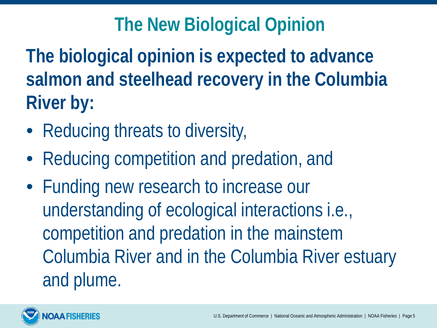#### **The New Biological Opinion**

**The biological opinion is expected to advance salmon and steelhead recovery in the Columbia River by:**

- Reducing threats to diversity,
- Reducing competition and predation, and
- Funding new research to increase our understanding of ecological interactions i.e., competition and predation in the mainstem Columbia River and in the Columbia River estuary and plume.

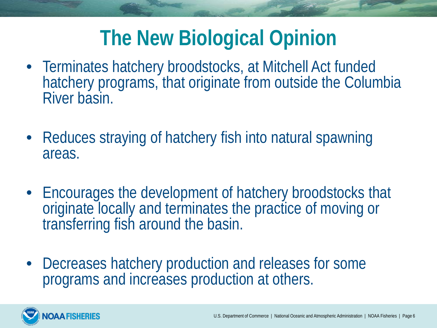#### **The New Biological Opinion**

- Terminates hatchery broodstocks, at Mitchell Act funded hatchery programs, that originate from outside the Columbia River basin.
- Reduces straying of hatchery fish into natural spawning areas.
- Encourages the development of hatchery broodstocks that originate locally and terminates the practice of moving or transferring fish around the basin.
- Decreases hatchery production and releases for some programs and increases production at others.

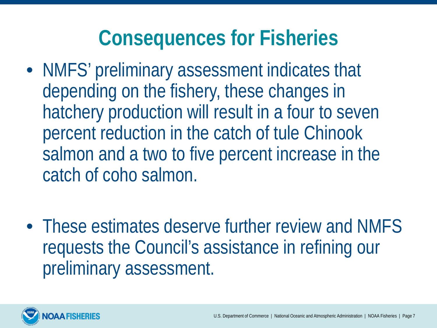#### **Consequences for Fisheries**

- NMFS' preliminary assessment indicates that depending on the fishery, these changes in hatchery production will result in a four to seven percent reduction in the catch of tule Chinook salmon and a two to five percent increase in the catch of coho salmon.
- These estimates deserve further review and NMFS requests the Council's assistance in refining our preliminary assessment.

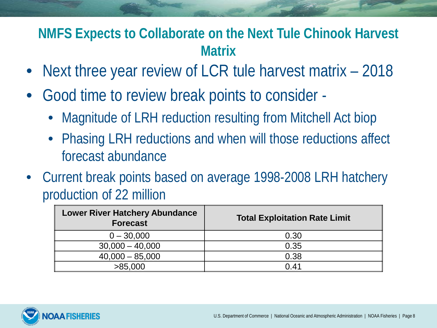#### **NMFS Expects to Collaborate on the Next Tule Chinook Harvest Matrix**

- Next three year review of LCR tule harvest matrix 2018
- Good time to review break points to consider
	- Magnitude of LRH reduction resulting from Mitchell Act biop
	- Phasing LRH reductions and when will those reductions affect forecast abundance
- Current break points based on average 1998-2008 LRH hatchery production of 22 million

| <b>Total Exploitation Rate Limit</b> |
|--------------------------------------|
| 0.30                                 |
| 0.35                                 |
| 0.38                                 |
| 0.41                                 |
|                                      |

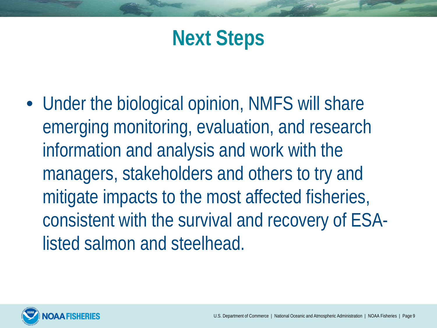#### **Next Steps**

• Under the biological opinion, NMFS will share emerging monitoring, evaluation, and research information and analysis and work with the managers, stakeholders and others to try and mitigate impacts to the most affected fisheries, consistent with the survival and recovery of ESAlisted salmon and steelhead.

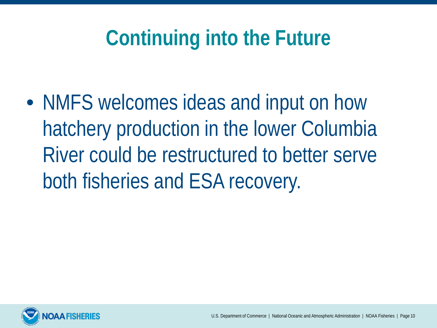#### **Continuing into the Future**

• NMFS welcomes ideas and input on how hatchery production in the lower Columbia River could be restructured to better serve both fisheries and ESA recovery.